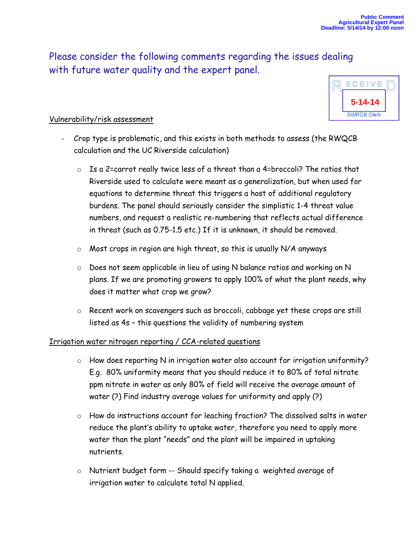**5-14-14**

ECEIVE

Please consider the following comments regarding the issues dealing with future water quality and the expert panel.

## Vulnerability/risk assessment

- Crop type is problematic, and this exists in both methods to assess (the RWQCB calculation and the UC Riverside calculation)
	- o Is a 2=carrot really twice less of a threat than a 4=broccoli? The ratios that Riverside used to calculate were meant as a generalization, but when used for equations to determine threat this triggers a host of additional regulatory burdens. The panel should seriously consider the simplistic 1-4 threat value numbers, and request a realistic re-numbering that reflects actual difference in threat (such as 0.75-1.5 etc.) If it is unknown, it should be removed.
	- $\circ$  Most crops in region are high threat, so this is usually N/A anyways
	- o Does not seem applicable in lieu of using N balance ratios and working on N plans. If we are promoting growers to apply 100% of what the plant needs, why does it matter what crop we grow?
	- o Recent work on scavengers such as broccoli, cabbage yet these crops are still listed as 4s – this questions the validity of numbering system

## Irrigation water nitrogen reporting / CCA-related questions

- o How does reporting N in irrigation water also account for irrigation uniformity? E.g. 80% uniformity means that you should reduce it to 80% of total nitrate ppm nitrate in water as only 80% of field will receive the average amount of water (?) Find industry average values for uniformity and apply (?)
- o How do instructions account for leaching fraction? The dissolved salts in water reduce the plant's ability to uptake water, therefore you need to apply more water than the plant "needs" and the plant will be impaired in uptaking nutrients.
- o Nutrient budget form -- Should specify taking a weighted average of irrigation water to calculate total N applied.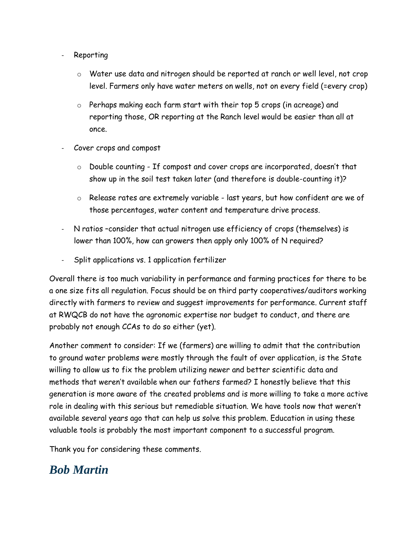- **Reporting** 
	- o Water use data and nitrogen should be reported at ranch or well level, not crop level. Farmers only have water meters on wells, not on every field (=every crop)
	- o Perhaps making each farm start with their top 5 crops (in acreage) and reporting those, OR reporting at the Ranch level would be easier than all at once.
- Cover crops and compost
	- o Double counting If compost and cover crops are incorporated, doesn't that show up in the soil test taken later (and therefore is double-counting it)?
	- o Release rates are extremely variable last years, but how confident are we of those percentages, water content and temperature drive process.
- N ratios -consider that actual nitrogen use efficiency of crops (themselves) is lower than 100%, how can growers then apply only 100% of N required?
- Split applications vs. 1 application fertilizer

Overall there is too much variability in performance and farming practices for there to be a one size fits all regulation. Focus should be on third party cooperatives/auditors working directly with farmers to review and suggest improvements for performance. Current staff at RWQCB do not have the agronomic expertise nor budget to conduct, and there are probably not enough CCAs to do so either (yet).

Another comment to consider: If we (farmers) are willing to admit that the contribution to ground water problems were mostly through the fault of over application, is the State willing to allow us to fix the problem utilizing newer and better scientific data and methods that weren't available when our fathers farmed? I honestly believe that this generation is more aware of the created problems and is more willing to take a more active role in dealing with this serious but remediable situation. We have tools now that weren't available several years ago that can help us solve this problem. Education in using these valuable tools is probably the most important component to a successful program.

Thank you for considering these comments.

## *Bob Martin*